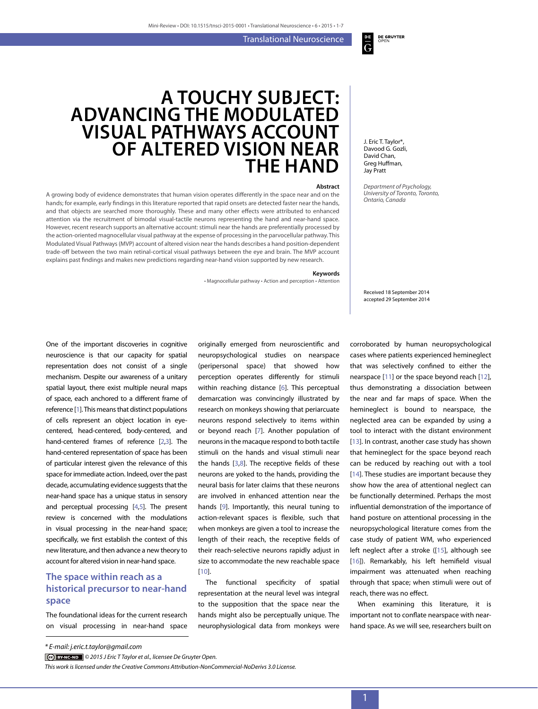Translational Neuroscience

# **A touchy subject: advancing the modulated visual pathways account of altered vision near the hand**

#### **Abstract**

A growing body of evidence demonstrates that human vision operates differently in the space near and on the hands; for example, early findings in this literature reported that rapid onsets are detected faster near the hands, and that objects are searched more thoroughly. These and many other effects were attributed to enhanced attention via the recruitment of bimodal visual-tactile neurons representing the hand and near-hand space. However, recent research supports an alternative account: stimuli near the hands are preferentially processed by the action-oriented magnocellular visual pathway at the expense of processing in the parvocellular pathway. This Modulated Visual Pathways (MVP) account of altered vision near the hands describes a hand position-dependent trade-off between the two main retinal-cortical visual pathways between the eye and brain. The MVP account explains past findings and makes new predictions regarding near-hand vision supported by new research.

#### **Keywords**

• Magnocellular pathway • Action and perception • Attention

originally emerged from neuroscientific and

J. Eric T. Taylor\*, Davood G. Gozli, David Chan, Greg Huffman, Jay Pratt

**DE GRUYTER** 

 $rac{p}{G}$ 

*Department of Psychology, University of Toronto, Toronto, Ontario, Canada*

Received 18 September 2014 accepted 29 September 2014

One of the important discoveries in cognitive neuroscience is that our capacity for spatial representation does not consist of a single mechanism. Despite our awareness of a unitary spatial layout, there exist multiple neural maps of space, each anchored to a different frame of reference [[1](#page-4-0)]. This means that distinct populations of cells represent an object location in eyecentered, head-centered, body-centered, and hand-centered frames of reference [\[2,](#page-4-1)[3](#page-4-2)]. The hand-centered representation of space has been of particular interest given the relevance of this space for immediate action. Indeed, over the past decade, accumulating evidence suggests that the near-hand space has a unique status in sensory and perceptual processing [[4](#page-4-3)[,5](#page-4-4)]. The present review is concerned with the modulations in visual processing in the near-hand space; specifically, we first establish the context of this new literature, and then advance a new theory to account for altered vision in near-hand space.

### **The space within reach as a historical precursor to near-hand space**

The foundational ideas for the current research on visual processing in near-hand space

The functional specificity of spatial representation at the neural level was integral to the supposition that the space near the hands might also be perceptually unique. The neurophysiological data from monkeys were

corroborated by human neuropsychological cases where patients experienced hemineglect that was selectively confined to either the nearspace [[11](#page-4-10)] or the space beyond reach [[12\]](#page-4-11), thus demonstrating a dissociation between the near and far maps of space. When the hemineglect is bound to nearspace, the neglected area can be expanded by using a tool to interact with the distant environment [[13](#page-4-12)]. In contrast, another case study has shown that hemineglect for the space beyond reach can be reduced by reaching out with a tool [[14](#page-4-13)]. These studies are important because they show how the area of attentional neglect can be functionally determined. Perhaps the most influential demonstration of the importance of hand posture on attentional processing in the neuropsychological literature comes from the case study of patient WM, who experienced left neglect after a stroke ([[15\]](#page-4-14), although see [[16](#page-4-15)]). Remarkably, his left hemifield visual impairment was attenuated when reaching through that space; when stimuli were out of reach, there was no effect.

When examining this literature, it is important not to conflate nearspace with nearhand space. As we will see, researchers built on

neuropsychological studies on nearspace (peripersonal space) that showed how perception operates differently for stimuli within reaching distance [\[6](#page-4-5)]. This perceptual demarcation was convincingly illustrated by research on monkeys showing that periarcuate neurons respond selectively to items within or beyond reach [[7\]](#page-4-6). Another population of neurons in the macaque respond to both tactile stimuli on the hands and visual stimuli near the hands  $[3,8]$  $[3,8]$  $[3,8]$  $[3,8]$  $[3,8]$ . The receptive fields of these neurons are yoked to the hands, providing the neural basis for later claims that these neurons are involved in enhanced attention near the hands [[9](#page-4-8)]. Importantly, this neural tuning to action-relevant spaces is flexible, such that when monkeys are given a tool to increase the length of their reach, the receptive fields of their reach-selective neurons rapidly adjust in size to accommodate the new reachable space [[10\]](#page-4-9).

*<sup>\*</sup> E-mail: j.eric.t.taylor@gmail.com*

*<sup>© 2015</sup> J Eric T Taylor et al., licensee De Gruyter Open.* 

*This work is licensed under the Creative Commons Attribution-NonCommercial-NoDerivs 3.0 License.*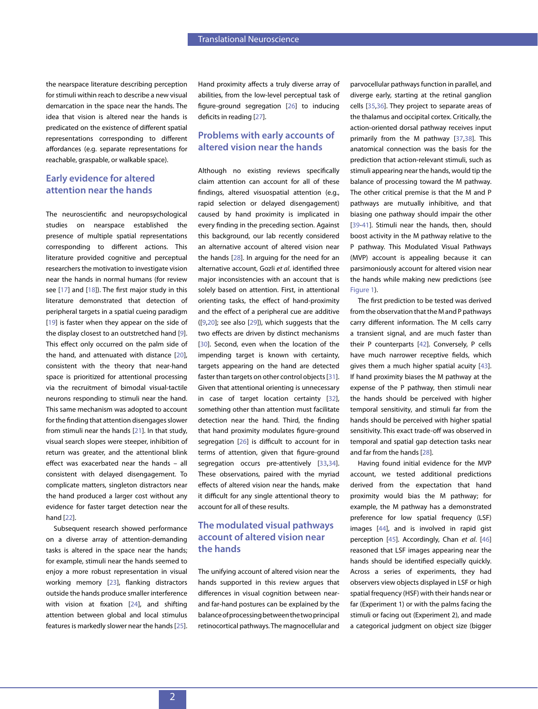the nearspace literature describing perception for stimuli within reach to describe a new visual demarcation in the space near the hands. The idea that vision is altered near the hands is predicated on the existence of different spatial representations corresponding to different affordances (e.g. separate representations for reachable, graspable, or walkable space).

## **Early evidence for altered attention near the hands**

The neuroscientific and neuropsychological studies on nearspace established the presence of multiple spatial representations corresponding to different actions. This literature provided cognitive and perceptual researchers the motivation to investigate vision near the hands in normal humans (for review see [[17](#page-4-16)] and [[18](#page-4-17)]). The first major study in this literature demonstrated that detection of peripheral targets in a spatial cueing paradigm [[19](#page-4-18)] is faster when they appear on the side of the display closest to an outstretched hand [[9](#page-4-8)]. This effect only occurred on the palm side of the hand, and attenuated with distance [\[20\]](#page-4-19), consistent with the theory that near-hand space is prioritized for attentional processing via the recruitment of bimodal visual-tactile neurons responding to stimuli near the hand. This same mechanism was adopted to account for the finding that attention disengages slower from stimuli near the hands [[21](#page-4-20)]. In that study, visual search slopes were steeper, inhibition of return was greater, and the attentional blink effect was exacerbated near the hands – all consistent with delayed disengagement. To complicate matters, singleton distractors near the hand produced a larger cost without any evidence for faster target detection near the hand [\[22](#page-4-21)].

Subsequent research showed performance on a diverse array of attention-demanding tasks is altered in the space near the hands; for example, stimuli near the hands seemed to enjoy a more robust representation in visual working memory [\[23](#page-4-22)], flanking distractors outside the hands produce smaller interference with vision at fixation [[24\]](#page-4-23), and shifting attention between global and local stimulus features is markedly slower near the hands [\[25\]](#page-4-24).

Hand proximity affects a truly diverse array of abilities, from the low-level perceptual task of figure-ground segregation [[26\]](#page-5-0) to inducing deficits in reading [[27\]](#page-5-1).

### **Problems with early accounts of altered vision near the hands**

Although no existing reviews specifically claim attention can account for all of these findings, altered visuospatial attention (e.g., rapid selection or delayed disengagement) caused by hand proximity is implicated in every finding in the preceding section. Against this background, our lab recently considered an alternative account of altered vision near the hands [\[28\]](#page-5-2). In arguing for the need for an alternative account, Gozli *et al*. identified three major inconsistencies with an account that is solely based on attention. First, in attentional orienting tasks, the effect of hand-proximity and the effect of a peripheral cue are additive ([[9](#page-4-8),[20\]](#page-4-19); see also [[29\]](#page-5-3)), which suggests that the two effects are driven by distinct mechanisms [[30\]](#page-5-4). Second, even when the location of the impending target is known with certainty, targets appearing on the hand are detected faster than targets on other control objects [[31](#page-5-5)]. Given that attentional orienting is unnecessary in case of target location certainty [[32\]](#page-5-6), something other than attention must facilitate detection near the hand. Third, the finding that hand proximity modulates figure-ground segregation [[26](#page-5-0)] is difficult to account for in terms of attention, given that figure-ground segregation occurs pre-attentively [[33](#page-5-7),[34](#page-5-8)]. These observations, paired with the myriad effects of altered vision near the hands, make it difficult for any single attentional theory to account for all of these results.

### **The modulated visual pathways account of altered vision near the hands**

The unifying account of altered vision near the hands supported in this review argues that differences in visual cognition between nearand far-hand postures can be explained by the balance of processing between the two principal retinocortical pathways. The magnocellular and

parvocellular pathways function in parallel, and diverge early, starting at the retinal ganglion cells [\[35](#page-5-9)[,36](#page-5-10)]. They project to separate areas of the thalamus and occipital cortex. Critically, the action-oriented dorsal pathway receives input primarily from the M pathway [[37,](#page-5-11)[38](#page-5-12)]. This anatomical connection was the basis for the prediction that action-relevant stimuli, such as stimuli appearing near the hands, would tip the balance of processing toward the M pathway. The other critical premise is that the M and P pathways are mutually inhibitive, and that biasing one pathway should impair the other [[39](#page-5-13)-[41](#page-5-14)]. Stimuli near the hands, then, should boost activity in the M pathway relative to the P pathway. This Modulated Visual Pathways (MVP) account is appealing because it can parsimoniously account for altered vision near the hands while making new predictions (see [Figure 1\)](#page-2-0).

The first prediction to be tested was derived from the observation that the M and P pathways carry different information. The M cells carry a transient signal, and are much faster than their P counterparts [\[42](#page-5-15)]. Conversely, P cells have much narrower receptive fields, which gives them a much higher spatial acuity [[43](#page-5-16)]. If hand proximity biases the M pathway at the expense of the P pathway, then stimuli near the hands should be perceived with higher temporal sensitivity, and stimuli far from the hands should be perceived with higher spatial sensitivity. This exact trade-off was observed in temporal and spatial gap detection tasks near and far from the hands [[28\]](#page-5-2).

Having found initial evidence for the MVP account, we tested additional predictions derived from the expectation that hand proximity would bias the M pathway; for example, the M pathway has a demonstrated preference for low spatial frequency (LSF) images [[44](#page-5-17)], and is involved in rapid gist perception [\[45](#page-5-18)]. Accordingly, Chan *et al*. [[46](#page-5-19)] reasoned that LSF images appearing near the hands should be identified especially quickly. Across a series of experiments, they had observers view objects displayed in LSF or high spatial frequency (HSF) with their hands near or far (Experiment 1) or with the palms facing the stimuli or facing out (Experiment 2), and made a categorical judgment on object size (bigger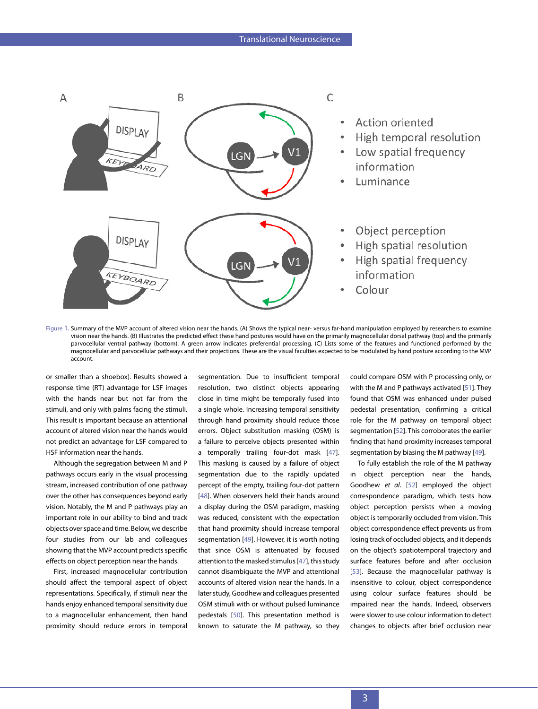

<span id="page-2-0"></span>Figure 1. Summary of the MVP account of altered vision near the hands. (A) Shows the typical near- versus far-hand manipulation employed by researchers to examine vision near the hands. (B) Illustrates the predicted effect these hand postures would have on the primarily magnocellular dorsal pathway (top) and the primarily parvocellular ventral pathway (bottom). A green arrow indicates preferential processing. (C) Lists some of the features and functioned performed by the magnocellular and parvocellular pathways and their projections. These are the visual faculties expected to be modulated by hand posture according to the MVP account.

or smaller than a shoebox). Results showed a response time (RT) advantage for LSF images with the hands near but not far from the stimuli, and only with palms facing the stimuli. This result is important because an attentional account of altered vision near the hands would not predict an advantage for LSF compared to HSF information near the hands.

Although the segregation between M and P pathways occurs early in the visual processing stream, increased contribution of one pathway over the other has consequences beyond early vision. Notably, the M and P pathways play an important role in our ability to bind and track objects over space and time. Below, we describe four studies from our lab and colleagues showing that the MVP account predicts specific effects on object perception near the hands.

First, increased magnocellular contribution should affect the temporal aspect of object representations. Specifically, if stimuli near the hands enjoy enhanced temporal sensitivity due to a magnocellular enhancement, then hand proximity should reduce errors in temporal

segmentation. Due to insufficient temporal resolution, two distinct objects appearing close in time might be temporally fused into a single whole. Increasing temporal sensitivity through hand proximity should reduce those errors. Object substitution masking (OSM) is a failure to perceive objects presented within a temporally trailing four-dot mask [[47\]](#page-5-20). This masking is caused by a failure of object segmentation due to the rapidly updated percept of the empty, trailing four-dot pattern [[48](#page-5-21)]. When observers held their hands around a display during the OSM paradigm, masking was reduced, consistent with the expectation that hand proximity should increase temporal segmentation [[49](#page-5-22)]. However, it is worth noting that since OSM is attenuated by focused attention to the masked stimulus [[47\]](#page-5-20), this study cannot disambiguate the MVP and attentional accounts of altered vision near the hands. In a later study, Goodhew and colleagues presented OSM stimuli with or without pulsed luminance pedestals [\[50](#page-5-23)]. This presentation method is known to saturate the M pathway, so they

could compare OSM with P processing only, or with the M and P pathways activated [[51\]](#page-5-24). They found that OSM was enhanced under pulsed pedestal presentation, confirming a critical role for the M pathway on temporal object segmentation [\[52](#page-5-25)]. This corroborates the earlier finding that hand proximity increases temporal segmentation by biasing the M pathway [[49](#page-5-22)].

To fully establish the role of the M pathway in object perception near the hands, Goodhew *et al*. [[52](#page-5-25)] employed the object correspondence paradigm, which tests how object perception persists when a moving object is temporarily occluded from vision. This object correspondence effect prevents us from losing track of occluded objects, and it depends on the object's spatiotemporal trajectory and surface features before and after occlusion [\[53](#page-5-26)]. Because the magnocellular pathway is insensitive to colour, object correspondence using colour surface features should be impaired near the hands. Indeed, observers were slower to use colour information to detect changes to objects after brief occlusion near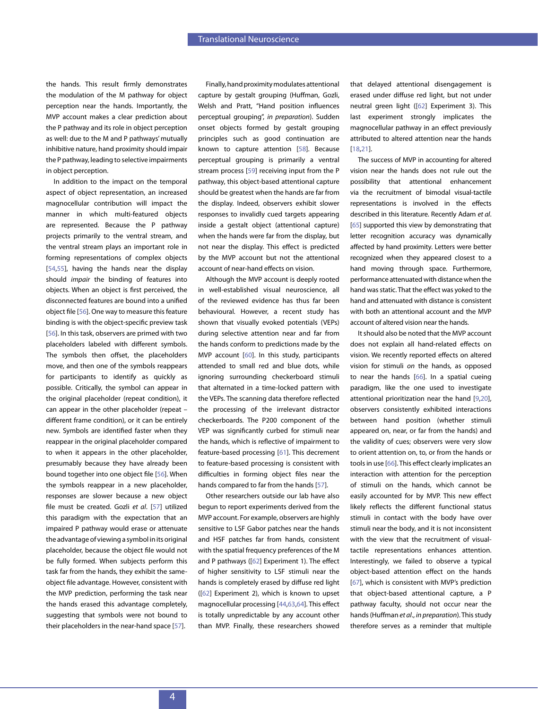the hands. This result firmly demonstrates the modulation of the M pathway for object perception near the hands. Importantly, the MVP account makes a clear prediction about the P pathway and its role in object perception as well: due to the M and P pathways' mutually inhibitive nature, hand proximity should impair the P pathway, leading to selective impairments in object perception.

In addition to the impact on the temporal aspect of object representation, an increased magnocellular contribution will impact the manner in which multi-featured objects are represented. Because the P pathway projects primarily to the ventral stream, and the ventral stream plays an important role in forming representations of complex objects [\[54,](#page-5-27)[55](#page-5-28)], having the hands near the display should *impair* the binding of features into objects. When an object is first perceived, the disconnected features are bound into a unified object file [[56\]](#page-5-29). One way to measure this feature binding is with the object-specific preview task [\[56\]](#page-5-29). In this task, observers are primed with two placeholders labeled with different symbols. The symbols then offset, the placeholders move, and then one of the symbols reappears for participants to identify as quickly as possible. Critically, the symbol can appear in the original placeholder (repeat condition), it can appear in the other placeholder (repeat – different frame condition), or it can be entirely new. Symbols are identified faster when they reappear in the original placeholder compared to when it appears in the other placeholder, presumably because they have already been bound together into one object file [\[56](#page-5-29)]. When the symbols reappear in a new placeholder, responses are slower because a new object file must be created. Gozli *et al*. [\[57](#page-5-30)] utilized this paradigm with the expectation that an impaired P pathway would erase or attenuate the advantage of viewing a symbol in its original placeholder, because the object file would not be fully formed. When subjects perform this task far from the hands, they exhibit the sameobject file advantage. However, consistent with the MVP prediction, performing the task near the hands erased this advantage completely, suggesting that symbols were not bound to their placeholders in the near-hand space [\[57](#page-5-30)].

Finally, hand proximity modulates attentional capture by gestalt grouping (Huffman, Gozli, Welsh and Pratt, "Hand position influences perceptual grouping", *in preparation*). Sudden onset objects formed by gestalt grouping principles such as good continuation are known to capture attention [[58\]](#page-5-31). Because perceptual grouping is primarily a ventral stream process [\[59\]](#page-5-32) receiving input from the P pathway, this object-based attentional capture should be greatest when the hands are far from the display. Indeed, observers exhibit slower responses to invalidly cued targets appearing inside a gestalt object (attentional capture) when the hands were far from the display, but not near the display. This effect is predicted by the MVP account but not the attentional account of near-hand effects on vision.

Although the MVP account is deeply rooted in well-established visual neuroscience, all of the reviewed evidence has thus far been behavioural. However, a recent study has shown that visually evoked potentials (VEPs) during selective attention near and far from the hands conform to predictions made by the MVP account [[60](#page-5-33)]. In this study, participants attended to small red and blue dots, while ignoring surrounding checkerboard stimuli that alternated in a time-locked pattern with the VEPs. The scanning data therefore reflected the processing of the irrelevant distractor checkerboards. The P200 component of the VEP was significantly curbed for stimuli near the hands, which is reflective of impairment to feature-based processing [\[61](#page-5-34)]. This decrement to feature-based processing is consistent with difficulties in forming object files near the hands compared to far from the hands [\[57\]](#page-5-30).

Other researchers outside our lab have also begun to report experiments derived from the MVP account. For example, observers are highly sensitive to LSF Gabor patches near the hands and HSF patches far from hands, consistent with the spatial frequency preferences of the M and P pathways ([\[62\]](#page-5-35) Experiment 1). The effect of higher sensitivity to LSF stimuli near the hands is completely erased by diffuse red light ([[62](#page-5-35)] Experiment 2), which is known to upset magnocellular processing [[44](#page-5-17),[63,](#page-5-36)[64\]](#page-5-37). This effect is totally unpredictable by any account other than MVP. Finally, these researchers showed that delayed attentional disengagement is erased under diffuse red light, but not under neutral green light ([[62\]](#page-5-35) Experiment 3). This last experiment strongly implicates the magnocellular pathway in an effect previously attributed to altered attention near the hands [[18](#page-4-17),[21](#page-4-20)].

The success of MVP in accounting for altered vision near the hands does not rule out the possibility that attentional enhancement via the recruitment of bimodal visual-tactile representations is involved in the effects described in this literature. Recently Adam *et al*. [\[65](#page-6-0)] supported this view by demonstrating that letter recognition accuracy was dynamically affected by hand proximity. Letters were better recognized when they appeared closest to a hand moving through space. Furthermore, performance attenuated with distance when the hand was static. That the effect was yoked to the hand and attenuated with distance is consistent with both an attentional account and the MVP account of altered vision near the hands.

It should also be noted that the MVP account does not explain all hand-related effects on vision. We recently reported effects on altered vision for stimuli *on* the hands, as opposed to near the hands [\[66\]](#page-6-1). In a spatial cueing paradigm, like the one used to investigate attentional prioritization near the hand [[9](#page-4-8)[,20](#page-4-19)], observers consistently exhibited interactions between hand position (whether stimuli appeared on, near, or far from the hands) and the validity of cues; observers were very slow to orient attention on, to, or from the hands or tools in use [[66](#page-6-1)]. This effect clearly implicates an interaction with attention for the perception of stimuli on the hands, which cannot be easily accounted for by MVP. This new effect likely reflects the different functional status stimuli in contact with the body have over stimuli near the body, and it is not inconsistent with the view that the recruitment of visualtactile representations enhances attention. Interestingly, we failed to observe a typical object-based attention effect on the hands [\[67](#page-6-2)], which is consistent with MVP's prediction that object-based attentional capture, a P pathway faculty, should not occur near the hands (Huffman *et al*., *in preparation*). This study therefore serves as a reminder that multiple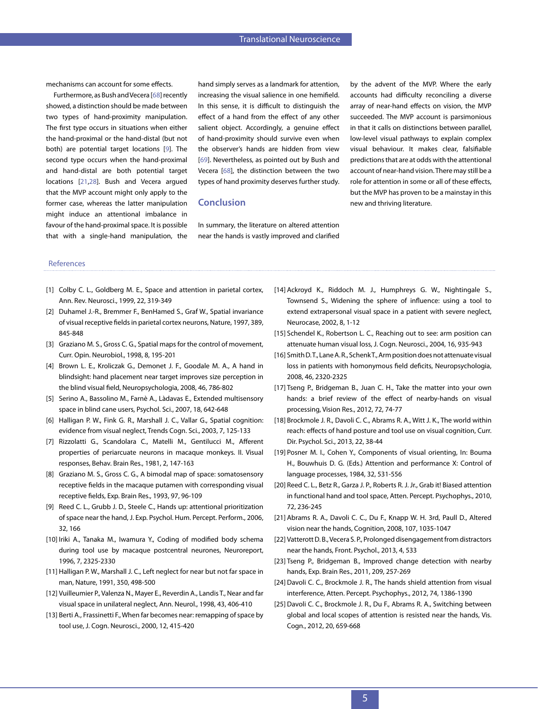mechanisms can account for some effects.

Furthermore, as Bush and Vecera [\[68](#page-6-3)] recently showed, a distinction should be made between two types of hand-proximity manipulation. The first type occurs in situations when either the hand-proximal or the hand-distal (but not both) are potential target locations [[9](#page-4-8)]. The second type occurs when the hand-proximal and hand-distal are both potential target locations [[21](#page-4-20),[28\]](#page-5-2). Bush and Vecera argued that the MVP account might only apply to the former case, whereas the latter manipulation might induce an attentional imbalance in favour of the hand-proximal space. It is possible that with a single-hand manipulation, the hand simply serves as a landmark for attention, increasing the visual salience in one hemifield. In this sense, it is difficult to distinguish the effect of a hand from the effect of any other salient object. Accordingly, a genuine effect of hand-proximity should survive even when the observer's hands are hidden from view [[69\]](#page-6-4). Nevertheless, as pointed out by Bush and Vecera [\[68](#page-6-3)], the distinction between the two types of hand proximity deserves further study.

#### **Conclusion**

In summary, the literature on altered attention near the hands is vastly improved and clarified by the advent of the MVP. Where the early accounts had difficulty reconciling a diverse array of near-hand effects on vision, the MVP succeeded. The MVP account is parsimonious in that it calls on distinctions between parallel, low-level visual pathways to explain complex visual behaviour. It makes clear, falsifiable predictions that are at odds with the attentional account of near-hand vision. There may still be a role for attention in some or all of these effects, but the MVP has proven to be a mainstay in this new and thriving literature.

#### References

- <span id="page-4-0"></span>[1] Colby C. L., Goldberg M. E., Space and attention in parietal cortex, Ann. Rev. Neurosci., 1999, 22, 319-349
- <span id="page-4-1"></span>[2] Duhamel J.-R., Bremmer F., BenHamed S., Graf W., Spatial invariance of visual receptive fields in parietal cortex neurons, Nature, 1997, 389, 845-848
- <span id="page-4-2"></span>[3] Graziano M. S., Gross C. G., Spatial maps for the control of movement, Curr. Opin. Neurobiol., 1998, 8, 195-201
- <span id="page-4-3"></span>[4] Brown L. E., Kroliczak G., Demonet J. F., Goodale M. A., A hand in blindsight: hand placement near target improves size perception in the blind visual field, Neuropsychologia, 2008, 46, 786-802
- <span id="page-4-4"></span>[5] Serino A., Bassolino M., Farnè A., Làdavas E., Extended multisensory space in blind cane users, Psychol. Sci., 2007, 18, 642-648
- <span id="page-4-5"></span>[6] Halligan P. W., Fink G. R., Marshall J. C., Vallar G., Spatial cognition: evidence from visual neglect, Trends Cogn. Sci., 2003, 7, 125-133
- <span id="page-4-6"></span>[7] Rizzolatti G., Scandolara C., Matelli M., Gentilucci M., Afferent properties of periarcuate neurons in macaque monkeys. II. Visual responses, Behav. Brain Res., 1981, 2, 147-163
- <span id="page-4-7"></span>[8] Graziano M. S., Gross C. G., A bimodal map of space: somatosensory receptive fields in the macaque putamen with corresponding visual receptive fields, Exp. Brain Res., 1993, 97, 96-109
- <span id="page-4-8"></span>[9] Reed C. L., Grubb J. D., Steele C., Hands up: attentional prioritization of space near the hand, J. Exp. Psychol. Hum. Percept. Perform., 2006, 32, 166
- <span id="page-4-9"></span>[10] Iriki A., Tanaka M., Iwamura Y., Coding of modified body schema during tool use by macaque postcentral neurones, Neuroreport, 1996, 7, 2325-2330
- <span id="page-4-10"></span>[11] Halligan P. W., Marshall J. C., Left neglect for near but not far space in man, Nature, 1991, 350, 498-500
- <span id="page-4-11"></span>[12] Vuilleumier P., Valenza N., Mayer E., Reverdin A., Landis T., Near and far visual space in unilateral neglect, Ann. Neurol., 1998, 43, 406-410
- <span id="page-4-12"></span>[13] Berti A., Frassinetti F., When far becomes near: remapping of space by tool use, J. Cogn. Neurosci., 2000, 12, 415-420
- <span id="page-4-13"></span>[14] Ackroyd K., Riddoch M. J., Humphreys G. W., Nightingale S., Townsend S., Widening the sphere of influence: using a tool to extend extrapersonal visual space in a patient with severe neglect, Neurocase, 2002, 8, 1-12
- <span id="page-4-14"></span>[15] Schendel K., Robertson L. C., Reaching out to see: arm position can attenuate human visual loss, J. Cogn. Neurosci., 2004, 16, 935-943
- <span id="page-4-15"></span>[16] Smith D.T., Lane A.R., Schenk T., Arm position does not attenuate visual loss in patients with homonymous field deficits, Neuropsychologia, 2008, 46, 2320-2325
- <span id="page-4-16"></span>[17] Tseng P., Bridgeman B., Juan C. H., Take the matter into your own hands: a brief review of the effect of nearby-hands on visual processing, Vision Res., 2012, 72, 74-77
- <span id="page-4-17"></span>[18] Brockmole J. R., Davoli C. C., Abrams R. A., Witt J. K., The world within reach: effects of hand posture and tool use on visual cognition, Curr. Dir. Psychol. Sci., 2013, 22, 38-44
- <span id="page-4-18"></span>[19] Posner M. I., Cohen Y., Components of visual orienting, In: Bouma H., Bouwhuis D. G. (Eds.) Attention and performance X: Control of language processes, 1984, 32, 531-556
- <span id="page-4-19"></span>[20] Reed C. L., Betz R., Garza J. P., Roberts R. J. Jr., Grab it! Biased attention in functional hand and tool space, Atten. Percept. Psychophys., 2010, 72, 236-245
- <span id="page-4-20"></span>[21] Abrams R. A., Davoli C. C., Du F., Knapp W. H. 3rd, Paull D., Altered vision near the hands, Cognition, 2008, 107, 1035-1047
- <span id="page-4-21"></span>[22] Vatterott D. B., Vecera S. P., Prolonged disengagement from distractors near the hands, Front. Psychol., 2013, 4, 533
- <span id="page-4-22"></span>[23] Tseng P., Bridgeman B., Improved change detection with nearby hands, Exp. Brain Res., 2011, 209, 257-269
- <span id="page-4-23"></span>[24] Davoli C. C., Brockmole J. R., The hands shield attention from visual interference, Atten. Percept. Psychophys., 2012, 74, 1386-1390
- <span id="page-4-24"></span>[25] Davoli C. C., Brockmole J. R., Du F., Abrams R. A., Switching between global and local scopes of attention is resisted near the hands, Vis. Cogn., 2012, 20, 659-668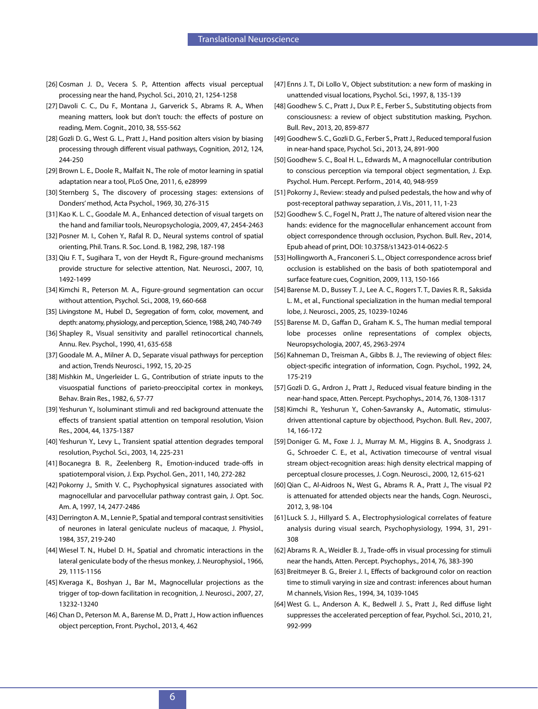- <span id="page-5-0"></span>[26] Cosman J. D., Vecera S. P., Attention affects visual perceptual processing near the hand, Psychol. Sci., 2010, 21, 1254-1258
- <span id="page-5-1"></span>[27] Davoli C. C., Du F., Montana J., Garverick S., Abrams R. A., When meaning matters, look but don't touch: the effects of posture on reading, Mem. Cognit., 2010, 38, 555-562
- <span id="page-5-2"></span>[28] Gozli D. G., West G. L., Pratt J., Hand position alters vision by biasing processing through different visual pathways, Cognition, 2012, 124, 244-250
- <span id="page-5-3"></span>[29] Brown L. E., Doole R., Malfait N., The role of motor learning in spatial adaptation near a tool, PLoS One, 2011, 6, e28999
- <span id="page-5-4"></span>[30] Sternberg S., The discovery of processing stages: extensions of Donders' method, Acta Psychol., 1969, 30, 276-315
- <span id="page-5-5"></span>[31] Kao K. L. C., Goodale M. A., Enhanced detection of visual targets on the hand and familiar tools, Neuropsychologia, 2009, 47, 2454-2463
- <span id="page-5-6"></span>[32] Posner M. I., Cohen Y., Rafal R. D., Neural systems control of spatial orienting, Phil. Trans. R. Soc. Lond. B, 1982, 298, 187-198
- <span id="page-5-7"></span>[33] Qiu F. T., Sugihara T., von der Heydt R., Figure-ground mechanisms provide structure for selective attention, Nat. Neurosci., 2007, 10, 1492-1499
- <span id="page-5-8"></span>[34] Kimchi R., Peterson M. A., Figure-ground segmentation can occur without attention, Psychol. Sci., 2008, 19, 660-668
- <span id="page-5-9"></span>[35] Livingstone M., Hubel D., Segregation of form, color, movement, and depth: anatomy, physiology, and perception, Science, 1988, 240, 740-749
- <span id="page-5-10"></span>[36] Shapley R., Visual sensitivity and parallel retinocortical channels, Annu. Rev. Psychol., 1990, 41, 635-658
- <span id="page-5-11"></span>[37] Goodale M. A., Milner A. D., Separate visual pathways for perception and action, Trends Neurosci., 1992, 15, 20-25
- <span id="page-5-12"></span>[38] Mishkin M., Ungerleider L. G., Contribution of striate inputs to the visuospatial functions of parieto-preoccipital cortex in monkeys, Behav. Brain Res., 1982, 6, 57-77
- <span id="page-5-13"></span>[39] Yeshurun Y., Isoluminant stimuli and red background attenuate the effects of transient spatial attention on temporal resolution, Vision Res., 2004, 44, 1375-1387
- [40] Yeshurun Y., Levy L., Transient spatial attention degrades temporal resolution, Psychol. Sci., 2003, 14, 225-231
- <span id="page-5-14"></span>[41] Bocanegra B. R., Zeelenberg R., Emotion-induced trade-offs in spatiotemporal vision, J. Exp. Psychol. Gen., 2011, 140, 272-282
- <span id="page-5-15"></span>[42] Pokorny J., Smith V. C., Psychophysical signatures associated with magnocellular and parvocellular pathway contrast gain, J. Opt. Soc. Am. A, 1997, 14, 2477-2486
- <span id="page-5-16"></span>[43] Derrington A. M., Lennie P., Spatial and temporal contrast sensitivities of neurones in lateral geniculate nucleus of macaque, J. Physiol., 1984, 357, 219-240
- <span id="page-5-17"></span>[44] Wiesel T. N., Hubel D. H., Spatial and chromatic interactions in the lateral geniculate body of the rhesus monkey, J. Neurophysiol., 1966, 29, 1115-1156
- <span id="page-5-18"></span>[45] Kveraga K., Boshyan J., Bar M., Magnocellular projections as the trigger of top-down facilitation in recognition, J. Neurosci., 2007, 27, 13232-13240
- <span id="page-5-19"></span>[46] Chan D., Peterson M. A., Barense M. D., Pratt J., How action influences object perception, Front. Psychol., 2013, 4, 462
- <span id="page-5-20"></span>[47] Enns J. T., Di Lollo V., Object substitution: a new form of masking in unattended visual locations, Psychol. Sci., 1997, 8, 135-139
- <span id="page-5-21"></span>[48] Goodhew S. C., Pratt J., Dux P. E., Ferber S., Substituting objects from consciousness: a review of object substitution masking, Psychon. Bull. Rev., 2013, 20, 859-877
- <span id="page-5-22"></span>[49] Goodhew S. C., Gozli D. G., Ferber S., Pratt J., Reduced temporal fusion in near-hand space, Psychol. Sci., 2013, 24, 891-900
- <span id="page-5-23"></span>[50] Goodhew S. C., Boal H. L., Edwards M., A magnocellular contribution to conscious perception via temporal object segmentation, J. Exp. Psychol. Hum. Percept. Perform., 2014, 40, 948-959
- <span id="page-5-24"></span>[51] Pokorny J., Review: steady and pulsed pedestals, the how and why of post-receptoral pathway separation, J. Vis., 2011, 11, 1-23
- <span id="page-5-25"></span>[52] Goodhew S. C., Fogel N., Pratt J., The nature of altered vision near the hands: evidence for the magnocellular enhancement account from object correspondence through occlusion, Psychon. Bull. Rev., 2014, Epub ahead of print, DOI: 10.3758/s13423-014-0622-5
- <span id="page-5-26"></span>[53] Hollingworth A., Franconeri S. L., Object correspondence across brief occlusion is established on the basis of both spatiotemporal and surface feature cues, Cognition, 2009, 113, 150-166
- <span id="page-5-27"></span>[54] Barense M. D., Bussey T. J., Lee A. C., Rogers T. T., Davies R. R., Saksida L. M., et al., Functional specialization in the human medial temporal lobe, J. Neurosci., 2005, 25, 10239-10246
- <span id="page-5-28"></span>[55] Barense M. D., Gaffan D., Graham K. S., The human medial temporal lobe processes online representations of complex objects, Neuropsychologia, 2007, 45, 2963-2974
- <span id="page-5-29"></span>[56] Kahneman D., Treisman A., Gibbs B. J., The reviewing of object files: object-specific integration of information, Cogn. Psychol., 1992, 24, 175-219
- <span id="page-5-30"></span>[57] Gozli D. G., Ardron J., Pratt J., Reduced visual feature binding in the near-hand space, Atten. Percept. Psychophys., 2014, 76, 1308-1317
- <span id="page-5-31"></span>[58] Kimchi R., Yeshurun Y., Cohen-Savransky A., Automatic, stimulusdriven attentional capture by objecthood, Psychon. Bull. Rev., 2007, 14, 166-172
- <span id="page-5-32"></span>[59] Doniger G. M., Foxe J. J., Murray M. M., Higgins B. A., Snodgrass J. G., Schroeder C. E., et al., Activation timecourse of ventral visual stream object-recognition areas: high density electrical mapping of perceptual closure processes, J. Cogn. Neurosci., 2000, 12, 615-621
- <span id="page-5-33"></span>[60] Qian C., Al-Aidroos N., West G., Abrams R. A., Pratt J., The visual P2 is attenuated for attended objects near the hands, Cogn. Neurosci., 2012, 3, 98-104
- <span id="page-5-34"></span>[61]Luck S. J., Hillyard S. A., Electrophysiological correlates of feature analysis during visual search, Psychophysiology, 1994, 31, 291- 308
- <span id="page-5-35"></span>[62] Abrams R. A., Weidler B. J., Trade-offs in visual processing for stimuli near the hands, Atten. Percept. Psychophys., 2014, 76, 383-390
- <span id="page-5-36"></span>[63] Breitmeyer B. G., Breier J. I., Effects of background color on reaction time to stimuli varying in size and contrast: inferences about human M channels, Vision Res., 1994, 34, 1039-1045
- <span id="page-5-37"></span>[64] West G. L., Anderson A. K., Bedwell J. S., Pratt J., Red diffuse light suppresses the accelerated perception of fear, Psychol. Sci., 2010, 21, 992-999